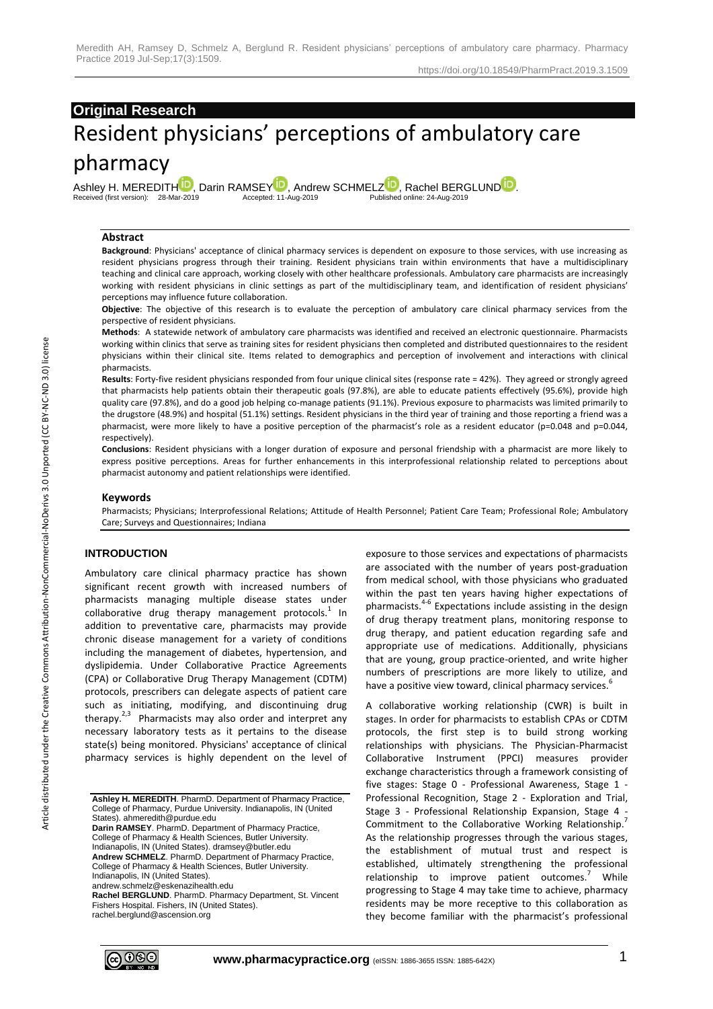# **Original Research** Resident physicians' perceptions of ambulatory care pharmacy

Ashley [H](http://orcid.org/0000-0001-6162-8043). MEREDITH<sup>1D</sup>, Darin RAMSE[Y](http://orcid.org/0000-0003-0278-2555)<sup>ID</sup>, Andrew SCHMEL[Z](http://orcid.org/0000-0002-5817-368X)<sup>I[D](http://orcid.org/0000-0003-3541-0643)</sup>, Rachel BERGLUND<sup>1D</sup>.<br>Received (first version): 28-Mar-2019 **Accepted: 11-Aug-2019** Published online: 24-Aug-2019 Received (first version): 28-Mar-2019

### **Abstract**

**Background**: Physicians' acceptance of clinical pharmacy services is dependent on exposure to those services, with use increasing as resident physicians progress through their training. Resident physicians train within environments that have a multidisciplinary teaching and clinical care approach, working closely with other healthcare professionals. Ambulatory care pharmacists are increasingly working with resident physicians in clinic settings as part of the multidisciplinary team, and identification of resident physicians' perceptions may influence future collaboration.

**Objective**: The objective of this research is to evaluate the perception of ambulatory care clinical pharmacy services from the perspective of resident physicians.

**Methods**: A statewide network of ambulatory care pharmacists was identified and received an electronic questionnaire. Pharmacists working within clinics that serve as training sites for resident physicians then completed and distributed questionnaires to the resident physicians within their clinical site. Items related to demographics and perception of involvement and interactions with clinical pharmacists.

Results: Forty-five resident physicians responded from four unique clinical sites (response rate = 42%). They agreed or strongly agreed that pharmacists help patients obtain their therapeutic goals (97.8%), are able to educate patients effectively (95.6%), provide high quality care (97.8%), and do a good job helping co-manage patients (91.1%). Previous exposure to pharmacists was limited primarily to the drugstore (48.9%) and hospital (51.1%) settings. Resident physicians in the third year of training and those reporting a friend was a pharmacist, were more likely to have a positive perception of the pharmacist's role as a resident educator (p=0.048 and p=0.044, respectively).

**Conclusions**: Resident physicians with a longer duration of exposure and personal friendship with a pharmacist are more likely to express positive perceptions. Areas for further enhancements in this interprofessional relationship related to perceptions about pharmacist autonomy and patient relationships were identified.

#### **Keywords**

Pharmacists; Physicians; Interprofessional Relations; Attitude of Health Personnel; Patient Care Team; Professional Role; Ambulatory Care; Surveys and Questionnaires; Indiana

### **INTRODUCTION**

Ambulatory care clinical pharmacy practice has shown significant recent growth with increased numbers of pharmacists managing multiple disease states under collaborative drug therapy management protocols. $1$  In addition to preventative care, pharmacists may provide chronic disease management for a variety of conditions including the management of diabetes, hypertension, and dyslipidemia. Under Collaborative Practice Agreements (CPA) or Collaborative Drug Therapy Management (CDTM) protocols, prescribers can delegate aspects of patient care such as initiating, modifying, and discontinuing drug therapy.<sup>2,3</sup> Pharmacists may also order and interpret any necessary laboratory tests as it pertains to the disease state(s) being monitored. Physicians' acceptance of clinical pharmacy services is highly dependent on the level of

**Darin RAMSEY**. PharmD. Department of Pharmacy Practice, College of Pharmacy & Health Sciences, Butler University. Indianapolis, IN (United States). dramsey@butler.edu **Andrew SCHMELZ**. PharmD. Department of Pharmacy Practice, College of Pharmacy & Health Sciences, Butler University. Indianapolis, IN (United States).

andrew.schmelz@eskenazihealth.edu

exposure to those services and expectations of pharmacists are associated with the number of years post-graduation from medical school, with those physicians who graduated within the past ten years having higher expectations of pharmacists.<sup>4-6</sup> Expectations include assisting in the design of drug therapy treatment plans, monitoring response to drug therapy, and patient education regarding safe and appropriate use of medications. Additionally, physicians that are young, group practice-oriented, and write higher numbers of prescriptions are more likely to utilize, and have a positive view toward, clinical pharmacy services.

A collaborative working relationship (CWR) is built in stages. In order for pharmacists to establish CPAs or CDTM protocols, the first step is to build strong working relationships with physicians. The Physician-Pharmacist Collaborative Instrument (PPCI) measures provider exchange characteristics through a framework consisting of five stages: Stage 0 - Professional Awareness, Stage 1 - Professional Recognition, Stage 2 - Exploration and Trial, Stage 3 - Professional Relationship Expansion, Stage 4 - Commitment to the Collaborative Working Relationship.<sup>7</sup> As the relationship progresses through the various stages, the establishment of mutual trust and respect is established, ultimately strengthening the professional relationship to improve patient outcomes.<sup>7</sup> While progressing to Stage 4 may take time to achieve, pharmacy residents may be more receptive to this collaboration as they become familiar with the pharmacist's professional



**Ashley H. MEREDITH**. PharmD. Department of Pharmacy Practice, College of Pharmacy, Purdue University. Indianapolis, IN (United States). ahmeredith@purdue.edu

**Rachel BERGLUND.** PharmD. Pharmacy Department, St. Vincent Fishers Hospital. Fishers, IN (United States). rachel.berglund@ascension.org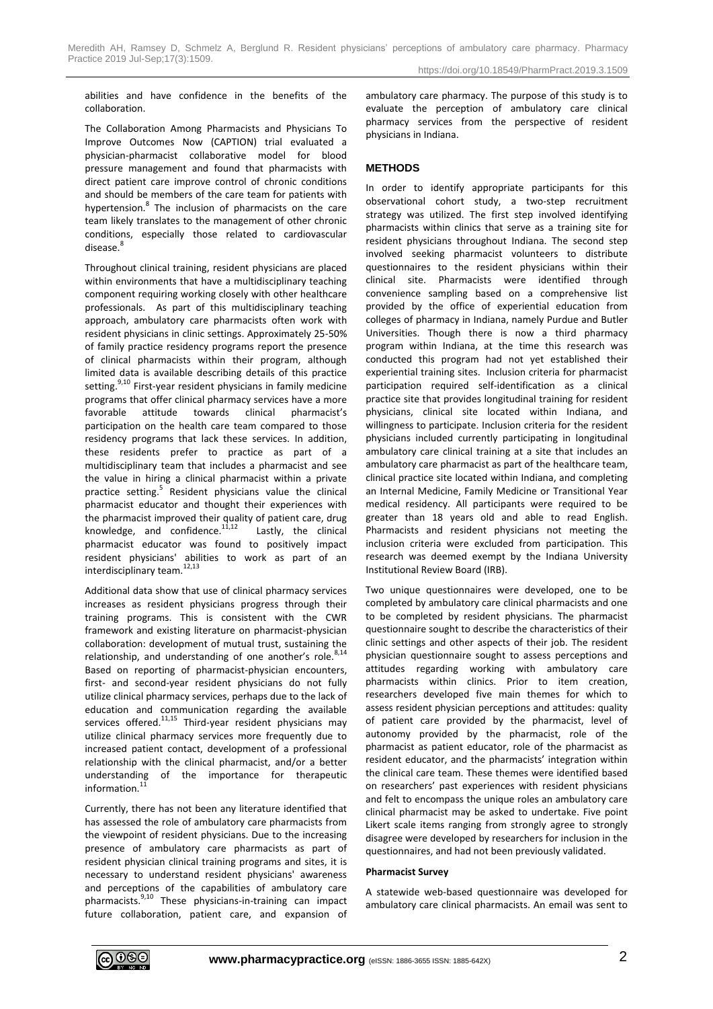https://doi.org/10.18549/PharmPract.2019.3.1509

abilities and have confidence in the benefits of the collaboration.

The Collaboration Among Pharmacists and Physicians To Improve Outcomes Now (CAPTION) trial evaluated a physician-pharmacist collaborative model for blood pressure management and found that pharmacists with direct patient care improve control of chronic conditions and should be members of the care team for patients with hypertension.<sup>8</sup> The inclusion of pharmacists on the care team likely translates to the management of other chronic conditions, especially those related to cardiovascular disease.<sup>8</sup>

Throughout clinical training, resident physicians are placed within environments that have a multidisciplinary teaching component requiring working closely with other healthcare professionals. As part of this multidisciplinary teaching approach, ambulatory care pharmacists often work with resident physicians in clinic settings. Approximately 25-50% of family practice residency programs report the presence of clinical pharmacists within their program, although limited data is available describing details of this practice setting.<sup>9,10</sup> First-year resident physicians in family medicine programs that offer clinical pharmacy services have a more favorable attitude towards clinical pharmacist's participation on the health care team compared to those residency programs that lack these services. In addition, these residents prefer to practice as part of a multidisciplinary team that includes a pharmacist and see the value in hiring a clinical pharmacist within a private practice setting.<sup>5</sup> Resident physicians value the clinical pharmacist educator and thought their experiences with the pharmacist improved their quality of patient care, drug knowledge, and confidence. $11,12$  Lastly, the clinical pharmacist educator was found to positively impact resident physicians' abilities to work as part of an  $interdisciplinary team.<sup>12,13</sup>$ 

Additional data show that use of clinical pharmacy services increases as resident physicians progress through their training programs. This is consistent with the CWR framework and existing literature on pharmacist-physician collaboration: development of mutual trust, sustaining the relationship, and understanding of one another's role. $8,14$ Based on reporting of pharmacist-physician encounters, first- and second-year resident physicians do not fully utilize clinical pharmacy services, perhaps due to the lack of education and communication regarding the available services offered. $11,15$  Third-year resident physicians may utilize clinical pharmacy services more frequently due to increased patient contact, development of a professional relationship with the clinical pharmacist, and/or a better understanding of the importance for therapeutic information.<sup>1</sup>

Currently, there has not been any literature identified that has assessed the role of ambulatory care pharmacists from the viewpoint of resident physicians. Due to the increasing presence of ambulatory care pharmacists as part of resident physician clinical training programs and sites, it is necessary to understand resident physicians' awareness and perceptions of the capabilities of ambulatory care pharmacists.9,10 These physicians-in-training can impact future collaboration, patient care, and expansion of ambulatory care pharmacy. The purpose of this study is to evaluate the perception of ambulatory care clinical pharmacy services from the perspective of resident physicians in Indiana.

## **METHODS**

In order to identify appropriate participants for this observational cohort study, a two-step recruitment strategy was utilized. The first step involved identifying pharmacists within clinics that serve as a training site for resident physicians throughout Indiana. The second step involved seeking pharmacist volunteers to distribute questionnaires to the resident physicians within their clinical site. Pharmacists were identified through convenience sampling based on a comprehensive list provided by the office of experiential education from colleges of pharmacy in Indiana, namely Purdue and Butler Universities. Though there is now a third pharmacy program within Indiana, at the time this research was conducted this program had not yet established their experiential training sites. Inclusion criteria for pharmacist participation required self-identification as a clinical practice site that provides longitudinal training for resident physicians, clinical site located within Indiana, and willingness to participate. Inclusion criteria for the resident physicians included currently participating in longitudinal ambulatory care clinical training at a site that includes an ambulatory care pharmacist as part of the healthcare team, clinical practice site located within Indiana, and completing an Internal Medicine, Family Medicine or Transitional Year medical residency. All participants were required to be greater than 18 years old and able to read English. Pharmacists and resident physicians not meeting the inclusion criteria were excluded from participation. This research was deemed exempt by the Indiana University Institutional Review Board (IRB).

Two unique questionnaires were developed, one to be completed by ambulatory care clinical pharmacists and one to be completed by resident physicians. The pharmacist questionnaire sought to describe the characteristics of their clinic settings and other aspects of their job. The resident physician questionnaire sought to assess perceptions and attitudes regarding working with ambulatory care pharmacists within clinics. Prior to item creation, researchers developed five main themes for which to assess resident physician perceptions and attitudes: quality of patient care provided by the pharmacist, level of autonomy provided by the pharmacist, role of the pharmacist as patient educator, role of the pharmacist as resident educator, and the pharmacists' integration within the clinical care team. These themes were identified based on researchers' past experiences with resident physicians and felt to encompass the unique roles an ambulatory care clinical pharmacist may be asked to undertake. Five point Likert scale items ranging from strongly agree to strongly disagree were developed by researchers for inclusion in the questionnaires, and had not been previously validated.

## **Pharmacist Survey**

A statewide web-based questionnaire was developed for ambulatory care clinical pharmacists. An email was sent to

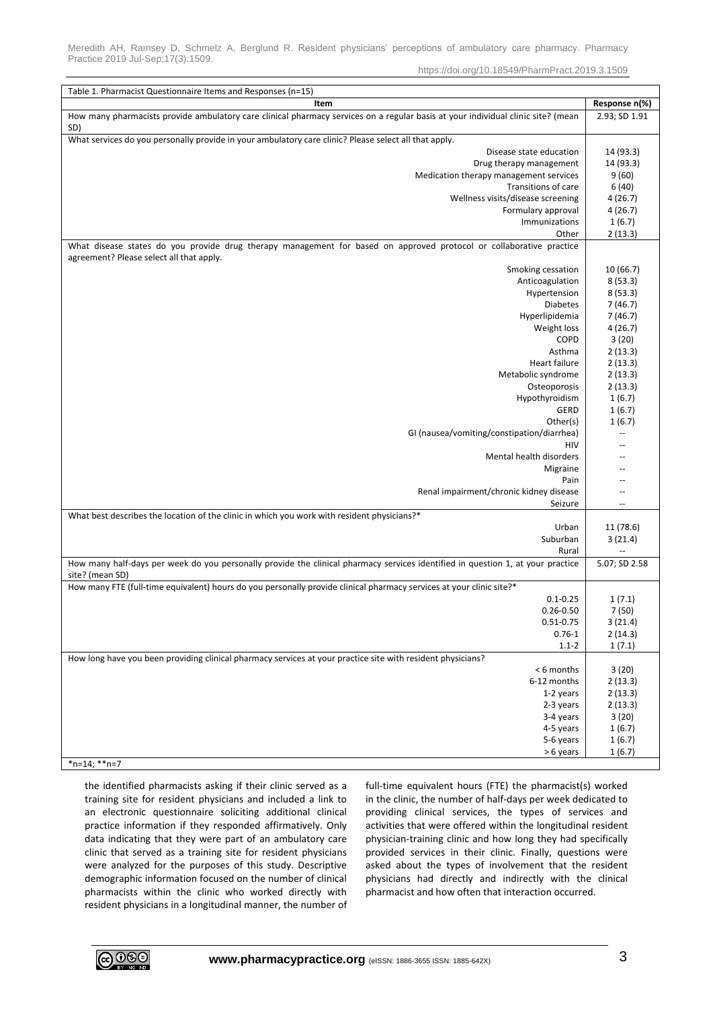https://doi.org/10.18549/PharmPract.2019.3.1509

| Table 1. Pharmacist Questionnaire Items and Responses (n=15)                                                                                                    |                          |
|-----------------------------------------------------------------------------------------------------------------------------------------------------------------|--------------------------|
| Item                                                                                                                                                            | Response n(%)            |
| How many pharmacists provide ambulatory care clinical pharmacy services on a regular basis at your individual clinic site? (mean                                | 2.93; SD 1.91            |
| SD)                                                                                                                                                             |                          |
| What services do you personally provide in your ambulatory care clinic? Please select all that apply.                                                           |                          |
| Disease state education                                                                                                                                         | 14 (93.3)                |
| Drug therapy management                                                                                                                                         | 14 (93.3)                |
| Medication therapy management services                                                                                                                          | 9(60)                    |
| Transitions of care                                                                                                                                             | 6(40)                    |
| Wellness visits/disease screening                                                                                                                               | 4(26.7)                  |
| Formulary approval                                                                                                                                              | 4 (26.7)                 |
| Immunizations                                                                                                                                                   | 1(6.7)                   |
| Other                                                                                                                                                           | 2(13.3)                  |
| What disease states do you provide drug therapy management for based on approved protocol or collaborative practice<br>agreement? Please select all that apply. |                          |
| Smoking cessation                                                                                                                                               | 10 (66.7)                |
| Anticoagulation                                                                                                                                                 | 8(53.3)                  |
| Hypertension                                                                                                                                                    | 8(53.3)                  |
| <b>Diabetes</b>                                                                                                                                                 | 7(46.7)                  |
| Hyperlipidemia                                                                                                                                                  | 7(46.7)                  |
| Weight loss                                                                                                                                                     | 4(26.7)                  |
| <b>COPD</b>                                                                                                                                                     | 3(20)                    |
| Asthma                                                                                                                                                          | 2(13.3)                  |
| Heart failure                                                                                                                                                   | 2(13.3)                  |
| Metabolic syndrome                                                                                                                                              | 2(13.3)                  |
| Osteoporosis                                                                                                                                                    | 2(13.3)                  |
| Hypothyroidism                                                                                                                                                  | 1(6.7)                   |
| <b>GERD</b>                                                                                                                                                     | 1(6.7)                   |
| Other(s)                                                                                                                                                        | 1(6.7)                   |
| GI (nausea/vomiting/constipation/diarrhea)                                                                                                                      |                          |
| <b>HIV</b>                                                                                                                                                      |                          |
| Mental health disorders                                                                                                                                         | $\overline{\phantom{a}}$ |
| Migraine                                                                                                                                                        | --                       |
| Pain                                                                                                                                                            | $\overline{\phantom{a}}$ |
| Renal impairment/chronic kidney disease                                                                                                                         | $\overline{\phantom{a}}$ |
| Seizure                                                                                                                                                         | $\overline{a}$           |
| What best describes the location of the clinic in which you work with resident physicians?*                                                                     |                          |
| Urban                                                                                                                                                           | 11 (78.6)                |
| Suburban                                                                                                                                                        | 3(21.4)                  |
| Rural                                                                                                                                                           |                          |
| How many half-days per week do you personally provide the clinical pharmacy services identified in question 1, at your practice<br>site? (mean SD)              | 5.07; SD 2.58            |
| How many FTE (full-time equivalent) hours do you personally provide clinical pharmacy services at your clinic site?*                                            |                          |
| $0.1 - 0.25$                                                                                                                                                    | 1(7.1)                   |
| $0.26 - 0.50$                                                                                                                                                   | 7(50)                    |
| $0.51 - 0.75$                                                                                                                                                   | 3(21.4)                  |
| $0.76 - 1$                                                                                                                                                      | 2(14.3)                  |
| $1.1 - 2$                                                                                                                                                       | 1(7.1)                   |
| How long have you been providing clinical pharmacy services at your practice site with resident physicians?                                                     |                          |
| < 6 months                                                                                                                                                      | 3(20)                    |
| 6-12 months                                                                                                                                                     | 2(13.3)                  |
| 1-2 years                                                                                                                                                       | 2(13.3)                  |
| 2-3 years                                                                                                                                                       | 2(13.3)                  |
| 3-4 years                                                                                                                                                       | 3(20)                    |
| 4-5 years                                                                                                                                                       | 1(6.7)                   |
| 5-6 years                                                                                                                                                       | 1(6.7)                   |
| > 6 years                                                                                                                                                       | 1(6.7)                   |
| $*$ n=14; **n=7                                                                                                                                                 |                          |

the identified pharmacists asking if their clinic served as a training site for resident physicians and included a link to an electronic questionnaire soliciting additional clinical practice information if they responded affirmatively. Only data indicating that they were part of an ambulatory care clinic that served as a training site for resident physicians were analyzed for the purposes of this study. Descriptive demographic information focused on the number of clinical pharmacists within the clinic who worked directly with resident physicians in a longitudinal manner, the number of full-time equivalent hours (FTE) the pharmacist(s) worked in the clinic, the number of half-days per week dedicated to providing clinical services, the types of services and activities that were offered within the longitudinal resident physician-training clinic and how long they had specifically provided services in their clinic. Finally, questions were asked about the types of involvement that the resident physicians had directly and indirectly with the clinical pharmacist and how often that interaction occurred.

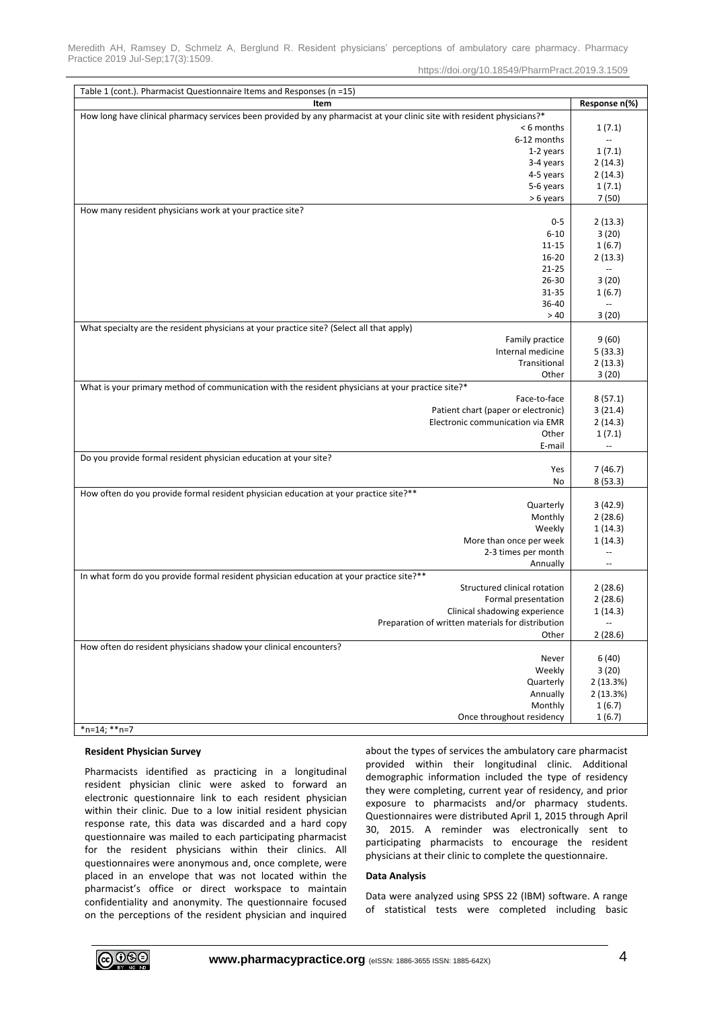https://doi.org/10.18549/PharmPract.2019.3.1509

| Response n(%)<br>Item<br>How long have clinical pharmacy services been provided by any pharmacist at your clinic site with resident physicians?*<br>$< 6$ months<br>1(7.1)<br>6-12 months<br>$\overline{\phantom{a}}$<br>1-2 years<br>1(7.1)<br>2(14.3)<br>3-4 years<br>4-5 years<br>2(14.3)<br>5-6 years<br>1(7.1)<br>7(50)<br>> 6 years<br>How many resident physicians work at your practice site?<br>$0 - 5$<br>2(13.3)<br>3(20)<br>$6 - 10$<br>1(6.7)<br>$11 - 15$<br>16-20<br>2(13.3)<br>$21 - 25$<br>$\overline{\phantom{a}}$<br>$26 - 30$<br>3(20)<br>31-35<br>1(6.7)<br>36-40<br>$\overline{\phantom{a}}$<br>>40<br>3(20)<br>What specialty are the resident physicians at your practice site? (Select all that apply)<br>Family practice<br>9(60)<br>Internal medicine<br>5(33.3)<br>Transitional<br>2(13.3)<br>3(20)<br>Other<br>What is your primary method of communication with the resident physicians at your practice site?*<br>Face-to-face<br>8(57.1)<br>Patient chart (paper or electronic)<br>3(21.4)<br>Electronic communication via EMR<br>2(14.3)<br>Other<br>1(7.1)<br>E-mail<br>$\overline{\phantom{a}}$<br>Do you provide formal resident physician education at your site?<br>7(46.7)<br>Yes<br>8(53.3)<br>No<br>How often do you provide formal resident physician education at your practice site?**<br>3(42.9)<br>Quarterly<br>2(28.6)<br>Monthly<br>Weekly<br>1(14.3)<br>More than once per week<br>1(14.3)<br>2-3 times per month<br>$\overline{\phantom{a}}$<br>Annually<br>$\overline{\phantom{a}}$<br>In what form do you provide formal resident physician education at your practice site?**<br>Structured clinical rotation<br>2(28.6)<br>Formal presentation<br>2(28.6)<br>1(14.3)<br>Clinical shadowing experience<br>Preparation of written materials for distribution<br>Other<br>2(28.6)<br>How often do resident physicians shadow your clinical encounters?<br>6(40)<br>Never<br>Weekly<br>3(20)<br>Quarterly<br>2(13.3%)<br>Annually<br>2(13.3%)<br>Monthly<br>1(6.7)<br>Once throughout residency<br>1(6.7) | Table 1 (cont.). Pharmacist Questionnaire Items and Responses (n =15) |  |
|-------------------------------------------------------------------------------------------------------------------------------------------------------------------------------------------------------------------------------------------------------------------------------------------------------------------------------------------------------------------------------------------------------------------------------------------------------------------------------------------------------------------------------------------------------------------------------------------------------------------------------------------------------------------------------------------------------------------------------------------------------------------------------------------------------------------------------------------------------------------------------------------------------------------------------------------------------------------------------------------------------------------------------------------------------------------------------------------------------------------------------------------------------------------------------------------------------------------------------------------------------------------------------------------------------------------------------------------------------------------------------------------------------------------------------------------------------------------------------------------------------------------------------------------------------------------------------------------------------------------------------------------------------------------------------------------------------------------------------------------------------------------------------------------------------------------------------------------------------------------------------------------------------------------------------------------------------------------------------------------------------------------------------------------------------------|-----------------------------------------------------------------------|--|
|                                                                                                                                                                                                                                                                                                                                                                                                                                                                                                                                                                                                                                                                                                                                                                                                                                                                                                                                                                                                                                                                                                                                                                                                                                                                                                                                                                                                                                                                                                                                                                                                                                                                                                                                                                                                                                                                                                                                                                                                                                                             |                                                                       |  |
|                                                                                                                                                                                                                                                                                                                                                                                                                                                                                                                                                                                                                                                                                                                                                                                                                                                                                                                                                                                                                                                                                                                                                                                                                                                                                                                                                                                                                                                                                                                                                                                                                                                                                                                                                                                                                                                                                                                                                                                                                                                             |                                                                       |  |
|                                                                                                                                                                                                                                                                                                                                                                                                                                                                                                                                                                                                                                                                                                                                                                                                                                                                                                                                                                                                                                                                                                                                                                                                                                                                                                                                                                                                                                                                                                                                                                                                                                                                                                                                                                                                                                                                                                                                                                                                                                                             |                                                                       |  |
|                                                                                                                                                                                                                                                                                                                                                                                                                                                                                                                                                                                                                                                                                                                                                                                                                                                                                                                                                                                                                                                                                                                                                                                                                                                                                                                                                                                                                                                                                                                                                                                                                                                                                                                                                                                                                                                                                                                                                                                                                                                             |                                                                       |  |
|                                                                                                                                                                                                                                                                                                                                                                                                                                                                                                                                                                                                                                                                                                                                                                                                                                                                                                                                                                                                                                                                                                                                                                                                                                                                                                                                                                                                                                                                                                                                                                                                                                                                                                                                                                                                                                                                                                                                                                                                                                                             |                                                                       |  |
|                                                                                                                                                                                                                                                                                                                                                                                                                                                                                                                                                                                                                                                                                                                                                                                                                                                                                                                                                                                                                                                                                                                                                                                                                                                                                                                                                                                                                                                                                                                                                                                                                                                                                                                                                                                                                                                                                                                                                                                                                                                             |                                                                       |  |
|                                                                                                                                                                                                                                                                                                                                                                                                                                                                                                                                                                                                                                                                                                                                                                                                                                                                                                                                                                                                                                                                                                                                                                                                                                                                                                                                                                                                                                                                                                                                                                                                                                                                                                                                                                                                                                                                                                                                                                                                                                                             |                                                                       |  |
|                                                                                                                                                                                                                                                                                                                                                                                                                                                                                                                                                                                                                                                                                                                                                                                                                                                                                                                                                                                                                                                                                                                                                                                                                                                                                                                                                                                                                                                                                                                                                                                                                                                                                                                                                                                                                                                                                                                                                                                                                                                             |                                                                       |  |
|                                                                                                                                                                                                                                                                                                                                                                                                                                                                                                                                                                                                                                                                                                                                                                                                                                                                                                                                                                                                                                                                                                                                                                                                                                                                                                                                                                                                                                                                                                                                                                                                                                                                                                                                                                                                                                                                                                                                                                                                                                                             |                                                                       |  |
|                                                                                                                                                                                                                                                                                                                                                                                                                                                                                                                                                                                                                                                                                                                                                                                                                                                                                                                                                                                                                                                                                                                                                                                                                                                                                                                                                                                                                                                                                                                                                                                                                                                                                                                                                                                                                                                                                                                                                                                                                                                             |                                                                       |  |
|                                                                                                                                                                                                                                                                                                                                                                                                                                                                                                                                                                                                                                                                                                                                                                                                                                                                                                                                                                                                                                                                                                                                                                                                                                                                                                                                                                                                                                                                                                                                                                                                                                                                                                                                                                                                                                                                                                                                                                                                                                                             |                                                                       |  |
|                                                                                                                                                                                                                                                                                                                                                                                                                                                                                                                                                                                                                                                                                                                                                                                                                                                                                                                                                                                                                                                                                                                                                                                                                                                                                                                                                                                                                                                                                                                                                                                                                                                                                                                                                                                                                                                                                                                                                                                                                                                             |                                                                       |  |
|                                                                                                                                                                                                                                                                                                                                                                                                                                                                                                                                                                                                                                                                                                                                                                                                                                                                                                                                                                                                                                                                                                                                                                                                                                                                                                                                                                                                                                                                                                                                                                                                                                                                                                                                                                                                                                                                                                                                                                                                                                                             |                                                                       |  |
|                                                                                                                                                                                                                                                                                                                                                                                                                                                                                                                                                                                                                                                                                                                                                                                                                                                                                                                                                                                                                                                                                                                                                                                                                                                                                                                                                                                                                                                                                                                                                                                                                                                                                                                                                                                                                                                                                                                                                                                                                                                             |                                                                       |  |
|                                                                                                                                                                                                                                                                                                                                                                                                                                                                                                                                                                                                                                                                                                                                                                                                                                                                                                                                                                                                                                                                                                                                                                                                                                                                                                                                                                                                                                                                                                                                                                                                                                                                                                                                                                                                                                                                                                                                                                                                                                                             |                                                                       |  |
|                                                                                                                                                                                                                                                                                                                                                                                                                                                                                                                                                                                                                                                                                                                                                                                                                                                                                                                                                                                                                                                                                                                                                                                                                                                                                                                                                                                                                                                                                                                                                                                                                                                                                                                                                                                                                                                                                                                                                                                                                                                             |                                                                       |  |
|                                                                                                                                                                                                                                                                                                                                                                                                                                                                                                                                                                                                                                                                                                                                                                                                                                                                                                                                                                                                                                                                                                                                                                                                                                                                                                                                                                                                                                                                                                                                                                                                                                                                                                                                                                                                                                                                                                                                                                                                                                                             |                                                                       |  |
|                                                                                                                                                                                                                                                                                                                                                                                                                                                                                                                                                                                                                                                                                                                                                                                                                                                                                                                                                                                                                                                                                                                                                                                                                                                                                                                                                                                                                                                                                                                                                                                                                                                                                                                                                                                                                                                                                                                                                                                                                                                             |                                                                       |  |
|                                                                                                                                                                                                                                                                                                                                                                                                                                                                                                                                                                                                                                                                                                                                                                                                                                                                                                                                                                                                                                                                                                                                                                                                                                                                                                                                                                                                                                                                                                                                                                                                                                                                                                                                                                                                                                                                                                                                                                                                                                                             |                                                                       |  |
|                                                                                                                                                                                                                                                                                                                                                                                                                                                                                                                                                                                                                                                                                                                                                                                                                                                                                                                                                                                                                                                                                                                                                                                                                                                                                                                                                                                                                                                                                                                                                                                                                                                                                                                                                                                                                                                                                                                                                                                                                                                             |                                                                       |  |
|                                                                                                                                                                                                                                                                                                                                                                                                                                                                                                                                                                                                                                                                                                                                                                                                                                                                                                                                                                                                                                                                                                                                                                                                                                                                                                                                                                                                                                                                                                                                                                                                                                                                                                                                                                                                                                                                                                                                                                                                                                                             |                                                                       |  |
|                                                                                                                                                                                                                                                                                                                                                                                                                                                                                                                                                                                                                                                                                                                                                                                                                                                                                                                                                                                                                                                                                                                                                                                                                                                                                                                                                                                                                                                                                                                                                                                                                                                                                                                                                                                                                                                                                                                                                                                                                                                             |                                                                       |  |
|                                                                                                                                                                                                                                                                                                                                                                                                                                                                                                                                                                                                                                                                                                                                                                                                                                                                                                                                                                                                                                                                                                                                                                                                                                                                                                                                                                                                                                                                                                                                                                                                                                                                                                                                                                                                                                                                                                                                                                                                                                                             |                                                                       |  |
|                                                                                                                                                                                                                                                                                                                                                                                                                                                                                                                                                                                                                                                                                                                                                                                                                                                                                                                                                                                                                                                                                                                                                                                                                                                                                                                                                                                                                                                                                                                                                                                                                                                                                                                                                                                                                                                                                                                                                                                                                                                             |                                                                       |  |
|                                                                                                                                                                                                                                                                                                                                                                                                                                                                                                                                                                                                                                                                                                                                                                                                                                                                                                                                                                                                                                                                                                                                                                                                                                                                                                                                                                                                                                                                                                                                                                                                                                                                                                                                                                                                                                                                                                                                                                                                                                                             |                                                                       |  |
|                                                                                                                                                                                                                                                                                                                                                                                                                                                                                                                                                                                                                                                                                                                                                                                                                                                                                                                                                                                                                                                                                                                                                                                                                                                                                                                                                                                                                                                                                                                                                                                                                                                                                                                                                                                                                                                                                                                                                                                                                                                             |                                                                       |  |
|                                                                                                                                                                                                                                                                                                                                                                                                                                                                                                                                                                                                                                                                                                                                                                                                                                                                                                                                                                                                                                                                                                                                                                                                                                                                                                                                                                                                                                                                                                                                                                                                                                                                                                                                                                                                                                                                                                                                                                                                                                                             |                                                                       |  |
|                                                                                                                                                                                                                                                                                                                                                                                                                                                                                                                                                                                                                                                                                                                                                                                                                                                                                                                                                                                                                                                                                                                                                                                                                                                                                                                                                                                                                                                                                                                                                                                                                                                                                                                                                                                                                                                                                                                                                                                                                                                             |                                                                       |  |
|                                                                                                                                                                                                                                                                                                                                                                                                                                                                                                                                                                                                                                                                                                                                                                                                                                                                                                                                                                                                                                                                                                                                                                                                                                                                                                                                                                                                                                                                                                                                                                                                                                                                                                                                                                                                                                                                                                                                                                                                                                                             |                                                                       |  |
|                                                                                                                                                                                                                                                                                                                                                                                                                                                                                                                                                                                                                                                                                                                                                                                                                                                                                                                                                                                                                                                                                                                                                                                                                                                                                                                                                                                                                                                                                                                                                                                                                                                                                                                                                                                                                                                                                                                                                                                                                                                             |                                                                       |  |
|                                                                                                                                                                                                                                                                                                                                                                                                                                                                                                                                                                                                                                                                                                                                                                                                                                                                                                                                                                                                                                                                                                                                                                                                                                                                                                                                                                                                                                                                                                                                                                                                                                                                                                                                                                                                                                                                                                                                                                                                                                                             |                                                                       |  |
|                                                                                                                                                                                                                                                                                                                                                                                                                                                                                                                                                                                                                                                                                                                                                                                                                                                                                                                                                                                                                                                                                                                                                                                                                                                                                                                                                                                                                                                                                                                                                                                                                                                                                                                                                                                                                                                                                                                                                                                                                                                             |                                                                       |  |
|                                                                                                                                                                                                                                                                                                                                                                                                                                                                                                                                                                                                                                                                                                                                                                                                                                                                                                                                                                                                                                                                                                                                                                                                                                                                                                                                                                                                                                                                                                                                                                                                                                                                                                                                                                                                                                                                                                                                                                                                                                                             |                                                                       |  |
|                                                                                                                                                                                                                                                                                                                                                                                                                                                                                                                                                                                                                                                                                                                                                                                                                                                                                                                                                                                                                                                                                                                                                                                                                                                                                                                                                                                                                                                                                                                                                                                                                                                                                                                                                                                                                                                                                                                                                                                                                                                             |                                                                       |  |
|                                                                                                                                                                                                                                                                                                                                                                                                                                                                                                                                                                                                                                                                                                                                                                                                                                                                                                                                                                                                                                                                                                                                                                                                                                                                                                                                                                                                                                                                                                                                                                                                                                                                                                                                                                                                                                                                                                                                                                                                                                                             |                                                                       |  |
|                                                                                                                                                                                                                                                                                                                                                                                                                                                                                                                                                                                                                                                                                                                                                                                                                                                                                                                                                                                                                                                                                                                                                                                                                                                                                                                                                                                                                                                                                                                                                                                                                                                                                                                                                                                                                                                                                                                                                                                                                                                             |                                                                       |  |
|                                                                                                                                                                                                                                                                                                                                                                                                                                                                                                                                                                                                                                                                                                                                                                                                                                                                                                                                                                                                                                                                                                                                                                                                                                                                                                                                                                                                                                                                                                                                                                                                                                                                                                                                                                                                                                                                                                                                                                                                                                                             |                                                                       |  |
|                                                                                                                                                                                                                                                                                                                                                                                                                                                                                                                                                                                                                                                                                                                                                                                                                                                                                                                                                                                                                                                                                                                                                                                                                                                                                                                                                                                                                                                                                                                                                                                                                                                                                                                                                                                                                                                                                                                                                                                                                                                             |                                                                       |  |
|                                                                                                                                                                                                                                                                                                                                                                                                                                                                                                                                                                                                                                                                                                                                                                                                                                                                                                                                                                                                                                                                                                                                                                                                                                                                                                                                                                                                                                                                                                                                                                                                                                                                                                                                                                                                                                                                                                                                                                                                                                                             |                                                                       |  |
|                                                                                                                                                                                                                                                                                                                                                                                                                                                                                                                                                                                                                                                                                                                                                                                                                                                                                                                                                                                                                                                                                                                                                                                                                                                                                                                                                                                                                                                                                                                                                                                                                                                                                                                                                                                                                                                                                                                                                                                                                                                             |                                                                       |  |
|                                                                                                                                                                                                                                                                                                                                                                                                                                                                                                                                                                                                                                                                                                                                                                                                                                                                                                                                                                                                                                                                                                                                                                                                                                                                                                                                                                                                                                                                                                                                                                                                                                                                                                                                                                                                                                                                                                                                                                                                                                                             |                                                                       |  |
|                                                                                                                                                                                                                                                                                                                                                                                                                                                                                                                                                                                                                                                                                                                                                                                                                                                                                                                                                                                                                                                                                                                                                                                                                                                                                                                                                                                                                                                                                                                                                                                                                                                                                                                                                                                                                                                                                                                                                                                                                                                             |                                                                       |  |
|                                                                                                                                                                                                                                                                                                                                                                                                                                                                                                                                                                                                                                                                                                                                                                                                                                                                                                                                                                                                                                                                                                                                                                                                                                                                                                                                                                                                                                                                                                                                                                                                                                                                                                                                                                                                                                                                                                                                                                                                                                                             |                                                                       |  |
|                                                                                                                                                                                                                                                                                                                                                                                                                                                                                                                                                                                                                                                                                                                                                                                                                                                                                                                                                                                                                                                                                                                                                                                                                                                                                                                                                                                                                                                                                                                                                                                                                                                                                                                                                                                                                                                                                                                                                                                                                                                             |                                                                       |  |
|                                                                                                                                                                                                                                                                                                                                                                                                                                                                                                                                                                                                                                                                                                                                                                                                                                                                                                                                                                                                                                                                                                                                                                                                                                                                                                                                                                                                                                                                                                                                                                                                                                                                                                                                                                                                                                                                                                                                                                                                                                                             |                                                                       |  |
|                                                                                                                                                                                                                                                                                                                                                                                                                                                                                                                                                                                                                                                                                                                                                                                                                                                                                                                                                                                                                                                                                                                                                                                                                                                                                                                                                                                                                                                                                                                                                                                                                                                                                                                                                                                                                                                                                                                                                                                                                                                             |                                                                       |  |
|                                                                                                                                                                                                                                                                                                                                                                                                                                                                                                                                                                                                                                                                                                                                                                                                                                                                                                                                                                                                                                                                                                                                                                                                                                                                                                                                                                                                                                                                                                                                                                                                                                                                                                                                                                                                                                                                                                                                                                                                                                                             |                                                                       |  |
|                                                                                                                                                                                                                                                                                                                                                                                                                                                                                                                                                                                                                                                                                                                                                                                                                                                                                                                                                                                                                                                                                                                                                                                                                                                                                                                                                                                                                                                                                                                                                                                                                                                                                                                                                                                                                                                                                                                                                                                                                                                             |                                                                       |  |
|                                                                                                                                                                                                                                                                                                                                                                                                                                                                                                                                                                                                                                                                                                                                                                                                                                                                                                                                                                                                                                                                                                                                                                                                                                                                                                                                                                                                                                                                                                                                                                                                                                                                                                                                                                                                                                                                                                                                                                                                                                                             |                                                                       |  |
|                                                                                                                                                                                                                                                                                                                                                                                                                                                                                                                                                                                                                                                                                                                                                                                                                                                                                                                                                                                                                                                                                                                                                                                                                                                                                                                                                                                                                                                                                                                                                                                                                                                                                                                                                                                                                                                                                                                                                                                                                                                             |                                                                       |  |
|                                                                                                                                                                                                                                                                                                                                                                                                                                                                                                                                                                                                                                                                                                                                                                                                                                                                                                                                                                                                                                                                                                                                                                                                                                                                                                                                                                                                                                                                                                                                                                                                                                                                                                                                                                                                                                                                                                                                                                                                                                                             |                                                                       |  |
|                                                                                                                                                                                                                                                                                                                                                                                                                                                                                                                                                                                                                                                                                                                                                                                                                                                                                                                                                                                                                                                                                                                                                                                                                                                                                                                                                                                                                                                                                                                                                                                                                                                                                                                                                                                                                                                                                                                                                                                                                                                             | $*$ n=14; **n=7                                                       |  |

## **Resident Physician Survey**

Pharmacists identified as practicing in a longitudinal resident physician clinic were asked to forward an electronic questionnaire link to each resident physician within their clinic. Due to a low initial resident physician response rate, this data was discarded and a hard copy questionnaire was mailed to each participating pharmacist for the resident physicians within their clinics. All questionnaires were anonymous and, once complete, were placed in an envelope that was not located within the pharmacist's office or direct workspace to maintain confidentiality and anonymity. The questionnaire focused on the perceptions of the resident physician and inquired

about the types of services the ambulatory care pharmacist provided within their longitudinal clinic. Additional demographic information included the type of residency they were completing, current year of residency, and prior exposure to pharmacists and/or pharmacy students. Questionnaires were distributed April 1, 2015 through April 30, 2015. A reminder was electronically sent to participating pharmacists to encourage the resident physicians at their clinic to complete the questionnaire.

## **Data Analysis**

Data were analyzed using SPSS 22 (IBM) software. A range of statistical tests were completed including basic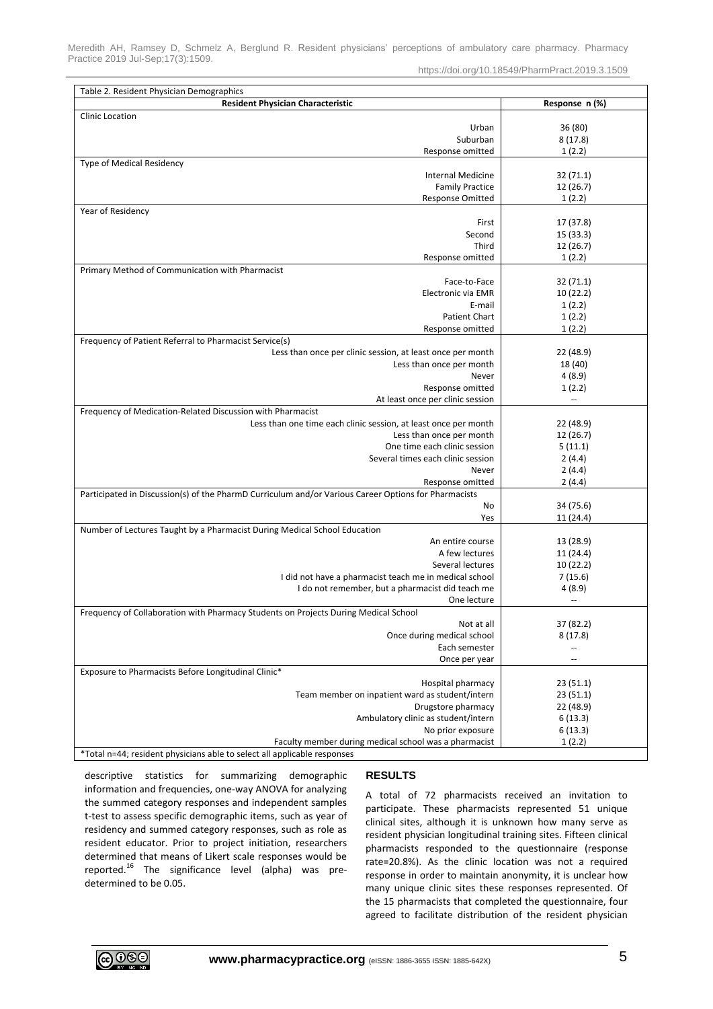https://doi.org/10.18549/PharmPract.2019.3.1509

| Table 2. Resident Physician Demographics                                                             |                      |
|------------------------------------------------------------------------------------------------------|----------------------|
| <b>Resident Physician Characteristic</b>                                                             | Response n (%)       |
| <b>Clinic Location</b>                                                                               |                      |
| Urban                                                                                                | 36 (80)              |
| Suburban                                                                                             | 8(17.8)              |
| Response omitted                                                                                     | 1(2.2)               |
| Type of Medical Residency                                                                            |                      |
| <b>Internal Medicine</b>                                                                             | 32 (71.1)            |
| <b>Family Practice</b>                                                                               | 12 (26.7)            |
| <b>Response Omitted</b>                                                                              | 1(2.2)               |
| Year of Residency                                                                                    |                      |
| First                                                                                                | 17 (37.8)            |
| Second                                                                                               | 15 (33.3)            |
| Third                                                                                                | 12 (26.7)            |
| Response omitted                                                                                     | 1(2.2)               |
| Primary Method of Communication with Pharmacist                                                      |                      |
| Face-to-Face                                                                                         | 32 (71.1)            |
| Electronic via EMR                                                                                   | 10(22.2)             |
| E-mail                                                                                               | 1(2.2)               |
| <b>Patient Chart</b>                                                                                 | 1(2.2)               |
| Response omitted                                                                                     | 1(2.2)               |
| Frequency of Patient Referral to Pharmacist Service(s)                                               |                      |
| Less than once per clinic session, at least once per month                                           | 22 (48.9)            |
| Less than once per month                                                                             | 18 (40)              |
| Never                                                                                                | 4 (8.9)              |
| Response omitted                                                                                     | 1(2.2)               |
| At least once per clinic session                                                                     | --                   |
| Frequency of Medication-Related Discussion with Pharmacist                                           |                      |
| Less than one time each clinic session, at least once per month                                      | 22 (48.9)            |
| Less than once per month                                                                             | 12 (26.7)            |
| One time each clinic session                                                                         | 5(11.1)              |
| Several times each clinic session                                                                    | 2(4.4)               |
| Never                                                                                                | 2(4.4)               |
| Response omitted                                                                                     | 2(4.4)               |
| Participated in Discussion(s) of the PharmD Curriculum and/or Various Career Options for Pharmacists |                      |
| No                                                                                                   | 34 (75.6)            |
| Yes                                                                                                  | 11 (24.4)            |
| Number of Lectures Taught by a Pharmacist During Medical School Education                            |                      |
| An entire course<br>A few lectures                                                                   | 13 (28.9)            |
| Several lectures                                                                                     | 11 (24.4)            |
| I did not have a pharmacist teach me in medical school                                               | 10 (22.2)<br>7(15.6) |
| I do not remember, but a pharmacist did teach me                                                     | 4 (8.9)              |
| One lecture                                                                                          |                      |
| Frequency of Collaboration with Pharmacy Students on Projects During Medical School                  |                      |
| Not at all                                                                                           | 37 (82.2)            |
| Once during medical school                                                                           | 8(17.8)              |
| Each semester                                                                                        | --                   |
| Once per year                                                                                        | --                   |
| Exposure to Pharmacists Before Longitudinal Clinic*                                                  |                      |
| Hospital pharmacy                                                                                    | 23 (51.1)            |
| Team member on inpatient ward as student/intern                                                      | 23 (51.1)            |
| Drugstore pharmacy                                                                                   | 22 (48.9)            |
| Ambulatory clinic as student/intern                                                                  | 6(13.3)              |
| No prior exposure                                                                                    | 6(13.3)              |
| Faculty member during medical school was a pharmacist                                                | 1(2.2)               |
| *Total n=44; resident physicians able to select all applicable responses                             |                      |

descriptive statistics for summarizing demographic information and frequencies, one-way ANOVA for analyzing the summed category responses and independent samples t-test to assess specific demographic items, such as year of residency and summed category responses, such as role as resident educator. Prior to project initiation, researchers determined that means of Likert scale responses would be reported.<sup>16</sup> The significance level (alpha) was predetermined to be 0.05.

## **RESULTS**

A total of 72 pharmacists received an invitation to participate. These pharmacists represented 51 unique clinical sites, although it is unknown how many serve as resident physician longitudinal training sites. Fifteen clinical pharmacists responded to the questionnaire (response rate=20.8%). As the clinic location was not a required response in order to maintain anonymity, it is unclear how many unique clinic sites these responses represented. Of the 15 pharmacists that completed the questionnaire, four agreed to facilitate distribution of the resident physician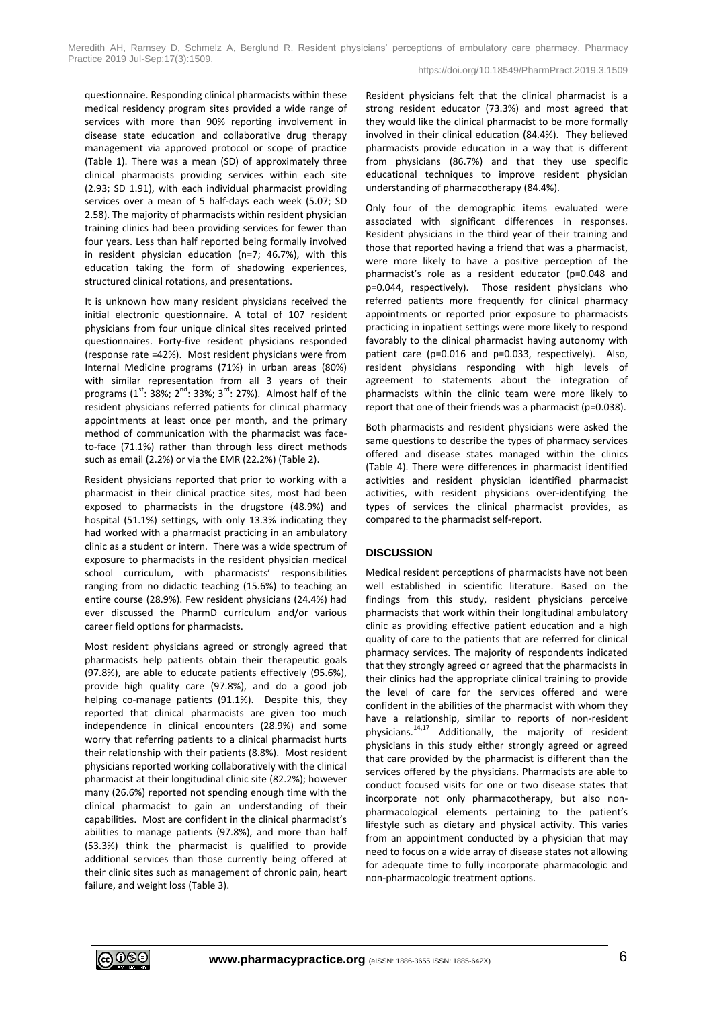questionnaire. Responding clinical pharmacists within these medical residency program sites provided a wide range of services with more than 90% reporting involvement in disease state education and collaborative drug therapy management via approved protocol or scope of practice (Table 1). There was a mean (SD) of approximately three clinical pharmacists providing services within each site (2.93; SD 1.91), with each individual pharmacist providing services over a mean of 5 half-days each week (5.07; SD 2.58). The majority of pharmacists within resident physician training clinics had been providing services for fewer than four years. Less than half reported being formally involved in resident physician education (n=7; 46.7%), with this education taking the form of shadowing experiences, structured clinical rotations, and presentations.

It is unknown how many resident physicians received the initial electronic questionnaire. A total of 107 resident physicians from four unique clinical sites received printed questionnaires. Forty-five resident physicians responded (response rate =42%). Most resident physicians were from Internal Medicine programs (71%) in urban areas (80%) with similar representation from all 3 years of their programs  $(1^{st}: 38\%; 2^{nd}: 33\%; 3^{rd}: 27\%)$ . Almost half of the resident physicians referred patients for clinical pharmacy appointments at least once per month, and the primary method of communication with the pharmacist was faceto-face (71.1%) rather than through less direct methods such as email (2.2%) or via the EMR (22.2%) (Table 2).

Resident physicians reported that prior to working with a pharmacist in their clinical practice sites, most had been exposed to pharmacists in the drugstore (48.9%) and hospital (51.1%) settings, with only 13.3% indicating they had worked with a pharmacist practicing in an ambulatory clinic as a student or intern. There was a wide spectrum of exposure to pharmacists in the resident physician medical school curriculum, with pharmacists' responsibilities ranging from no didactic teaching (15.6%) to teaching an entire course (28.9%). Few resident physicians (24.4%) had ever discussed the PharmD curriculum and/or various career field options for pharmacists.

Most resident physicians agreed or strongly agreed that pharmacists help patients obtain their therapeutic goals (97.8%), are able to educate patients effectively (95.6%), provide high quality care (97.8%), and do a good job helping co-manage patients (91.1%). Despite this, they reported that clinical pharmacists are given too much independence in clinical encounters (28.9%) and some worry that referring patients to a clinical pharmacist hurts their relationship with their patients (8.8%). Most resident physicians reported working collaboratively with the clinical pharmacist at their longitudinal clinic site (82.2%); however many (26.6%) reported not spending enough time with the clinical pharmacist to gain an understanding of their capabilities. Most are confident in the clinical pharmacist's abilities to manage patients (97.8%), and more than half (53.3%) think the pharmacist is qualified to provide additional services than those currently being offered at their clinic sites such as management of chronic pain, heart failure, and weight loss (Table 3).

Resident physicians felt that the clinical pharmacist is a strong resident educator (73.3%) and most agreed that they would like the clinical pharmacist to be more formally involved in their clinical education (84.4%). They believed pharmacists provide education in a way that is different from physicians (86.7%) and that they use specific educational techniques to improve resident physician understanding of pharmacotherapy (84.4%).

Only four of the demographic items evaluated were associated with significant differences in responses. Resident physicians in the third year of their training and those that reported having a friend that was a pharmacist, were more likely to have a positive perception of the pharmacist's role as a resident educator (p=0.048 and p=0.044, respectively). Those resident physicians who referred patients more frequently for clinical pharmacy appointments or reported prior exposure to pharmacists practicing in inpatient settings were more likely to respond favorably to the clinical pharmacist having autonomy with patient care (p=0.016 and p=0.033, respectively). Also, resident physicians responding with high levels of agreement to statements about the integration of pharmacists within the clinic team were more likely to report that one of their friends was a pharmacist (p=0.038).

Both pharmacists and resident physicians were asked the same questions to describe the types of pharmacy services offered and disease states managed within the clinics (Table 4). There were differences in pharmacist identified activities and resident physician identified pharmacist activities, with resident physicians over-identifying the types of services the clinical pharmacist provides, as compared to the pharmacist self-report.

## **DISCUSSION**

Medical resident perceptions of pharmacists have not been well established in scientific literature. Based on the findings from this study, resident physicians perceive pharmacists that work within their longitudinal ambulatory clinic as providing effective patient education and a high quality of care to the patients that are referred for clinical pharmacy services. The majority of respondents indicated that they strongly agreed or agreed that the pharmacists in their clinics had the appropriate clinical training to provide the level of care for the services offered and were confident in the abilities of the pharmacist with whom they have a relationship, similar to reports of non-resident physicians.14,17 Additionally, the majority of resident physicians in this study either strongly agreed or agreed that care provided by the pharmacist is different than the services offered by the physicians. Pharmacists are able to conduct focused visits for one or two disease states that incorporate not only pharmacotherapy, but also nonpharmacological elements pertaining to the patient's lifestyle such as dietary and physical activity. This varies from an appointment conducted by a physician that may need to focus on a wide array of disease states not allowing for adequate time to fully incorporate pharmacologic and non-pharmacologic treatment options.

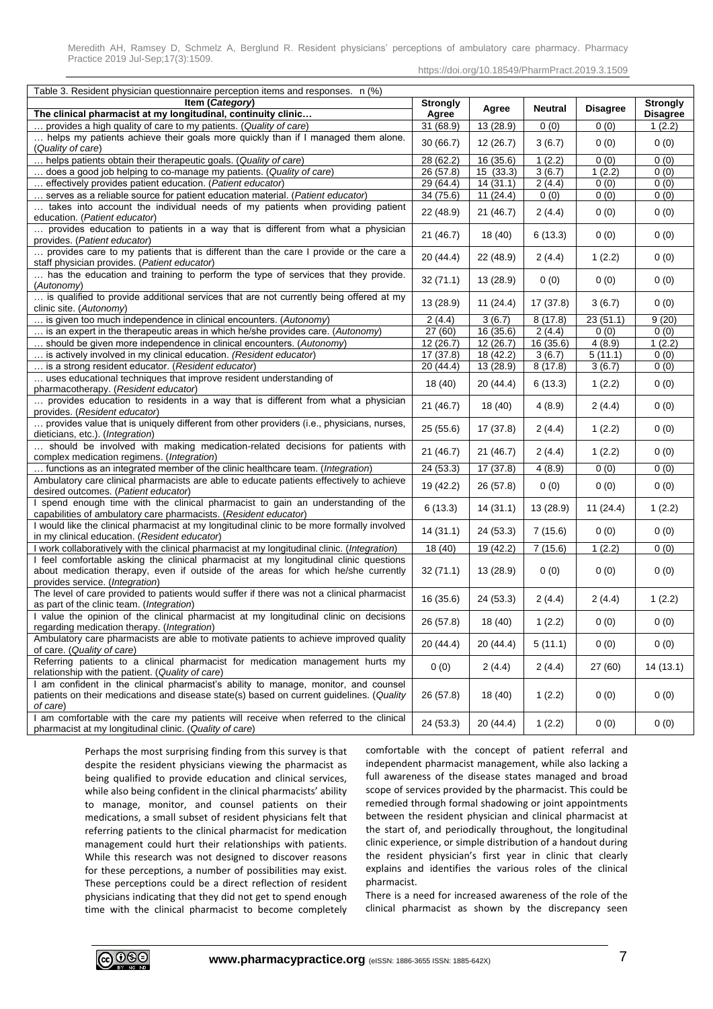https://doi.org/10.18549/PharmPract.2019.3.1509

| Table 3. Resident physician questionnaire perception items and responses. n (%)                                                                                                                               |                 |           |                |                 |                 |
|---------------------------------------------------------------------------------------------------------------------------------------------------------------------------------------------------------------|-----------------|-----------|----------------|-----------------|-----------------|
| Item (Category)                                                                                                                                                                                               | <b>Strongly</b> | Agree     | <b>Neutral</b> | <b>Disagree</b> | <b>Strongly</b> |
| The clinical pharmacist at my longitudinal, continuity clinic                                                                                                                                                 | Agree           |           |                |                 | <b>Disagree</b> |
| provides a high quality of care to my patients. (Quality of care)                                                                                                                                             | 31 (68.9)       | 13 (28.9) | 0(0)           | 0(0)            | 1(2.2)          |
| helps my patients achieve their goals more quickly than if I managed them alone.                                                                                                                              | 30(66.7)        | 12 (26.7) | 3(6.7)         | 0(0)            | 0(0)            |
| (Quality of care)                                                                                                                                                                                             |                 |           |                |                 |                 |
| helps patients obtain their therapeutic goals. (Quality of care)                                                                                                                                              | 28 (62.2)       | 16 (35.6) | 1(2.2)         | 0(0)            | 0(0)            |
| does a good job helping to co-manage my patients. (Quality of care)                                                                                                                                           | 26 (57.8)       | 15 (33.3) | 3(6.7)         | 1(2.2)          | 0(0)            |
| effectively provides patient education. (Patient educator)                                                                                                                                                    | 29 (64.4)       | 14(31.1)  | 2(4.4)         | 0(0)            | 0(0)            |
| serves as a reliable source for patient education material. (Patient educator)                                                                                                                                | 34 (75.6)       | 11(24.4)  | 0(0)           | 0(0)            | 0(0)            |
| takes into account the individual needs of my patients when providing patient<br>education. (Patient educator)                                                                                                | 22 (48.9)       | 21 (46.7) | 2(4.4)         | 0(0)            | 0(0)            |
| provides education to patients in a way that is different from what a physician<br>provides. (Patient educator)                                                                                               | 21(46.7)        | 18 (40)   | 6(13.3)        | 0(0)            | 0(0)            |
| provides care to my patients that is different than the care I provide or the care a<br>staff physician provides. (Patient educator)                                                                          | 20(44.4)        | 22 (48.9) | 2(4.4)         | 1(2.2)          | 0(0)            |
| has the education and training to perform the type of services that they provide.<br>(Autonomy)                                                                                                               | 32(71.1)        | 13 (28.9) | 0(0)           | 0(0)            | 0(0)            |
| is qualified to provide additional services that are not currently being offered at my<br>clinic site. (Autonomy)                                                                                             | 13 (28.9)       | 11(24.4)  | 17 (37.8)      | 3(6.7)          | 0(0)            |
| is given too much independence in clinical encounters. (Autonomy)                                                                                                                                             | 2(4.4)          | 3(6.7)    | 8(17.8)        | 23(51.1)        | 9(20)           |
| is an expert in the therapeutic areas in which he/she provides care. (Autonomy)                                                                                                                               | 27(60)          | 16 (35.6) | 2(4.4)         | 0(0)            | 0(0)            |
| should be given more independence in clinical encounters. (Autonomy)                                                                                                                                          | 12(26.7)        | 12(26.7)  | 16 (35.6)      | 4(8.9)          | 1(2.2)          |
| is actively involved in my clinical education. (Resident educator)                                                                                                                                            | 17(37.8)        | 18 (42.2) | 3(6.7)         | 5(11.1)         | 0(0)            |
| is a strong resident educator. (Resident educator)                                                                                                                                                            | 20(44.4)        | 13(28.9)  | 8(17.8)        | 3(6.7)          | 0(0)            |
| uses educational techniques that improve resident understanding of<br>pharmacotherapy. (Resident educator)                                                                                                    | 18 (40)         | 20 (44.4) | 6(13.3)        | 1(2.2)          | 0(0)            |
| provides education to residents in a way that is different from what a physician<br>provides. (Resident educator)                                                                                             | 21(46.7)        | 18 (40)   | 4(8.9)         | 2(4.4)          | 0(0)            |
| provides value that is uniquely different from other providers (i.e., physicians, nurses,<br>dieticians, etc.). (Integration)                                                                                 | 25 (55.6)       | 17 (37.8) | 2(4.4)         | 1(2.2)          | 0(0)            |
| should be involved with making medication-related decisions for patients with<br>complex medication regimens. (Integration)                                                                                   | 21(46.7)        | 21(46.7)  | 2(4.4)         | 1(2.2)          | 0(0)            |
| functions as an integrated member of the clinic healthcare team. (Integration)                                                                                                                                | 24 (53.3)       | 17 (37.8) | 4(8.9)         | 0(0)            | 0(0)            |
| Ambulatory care clinical pharmacists are able to educate patients effectively to achieve                                                                                                                      |                 |           |                |                 |                 |
| desired outcomes. (Patient educator)                                                                                                                                                                          | 19 (42.2)       | 26 (57.8) | 0(0)           | 0(0)            | 0(0)            |
| spend enough time with the clinical pharmacist to gain an understanding of the<br>capabilities of ambulatory care pharmacists. (Resident educator)                                                            | 6(13.3)         | 14(31.1)  | 13 (28.9)      | 11(24.4)        | 1(2.2)          |
| I would like the clinical pharmacist at my longitudinal clinic to be more formally involved<br>in my clinical education. (Resident educator)                                                                  | 14(31.1)        | 24 (53.3) | 7(15.6)        | 0(0)            | 0(0)            |
| I work collaboratively with the clinical pharmacist at my longitudinal clinic. (Integration)                                                                                                                  | 18(40)          | 19 (42.2) | 7(15.6)        | 1(2.2)          | 0(0)            |
| I feel comfortable asking the clinical pharmacist at my longitudinal clinic questions<br>about medication therapy, even if outside of the areas for which he/she currently<br>provides service. (Integration) | 32(71.1)        | 13 (28.9) | 0(0)           | 0(0)            | 0(0)            |
| The level of care provided to patients would suffer if there was not a clinical pharmacist<br>as part of the clinic team. (Integration)                                                                       | 16 (35.6)       | 24 (53.3) | 2(4.4)         | 2(4.4)          | 1(2.2)          |
| I value the opinion of the clinical pharmacist at my longitudinal clinic on decisions<br>regarding medication therapy. (Integration)                                                                          | 26 (57.8)       | 18 (40)   | 1(2.2)         | 0(0)            | 0(0)            |
| Ambulatory care pharmacists are able to motivate patients to achieve improved quality<br>of care. (Quality of care)                                                                                           | 20(44.4)        | 20(44.4)  | 5(11.1)        | 0(0)            | 0(0)            |
| Referring patients to a clinical pharmacist for medication management hurts my<br>relationship with the patient. (Quality of care)                                                                            | 0(0)            | 2(4.4)    | 2(4.4)         | 27 (60)         | 14(13.1)        |
| I am confident in the clinical pharmacist's ability to manage, monitor, and counsel<br>patients on their medications and disease state(s) based on current guidelines. (Quality<br>of care)                   | 26 (57.8)       | 18 (40)   | 1(2.2)         | 0(0)            | 0(0)            |
| I am comfortable with the care my patients will receive when referred to the clinical<br>pharmacist at my longitudinal clinic. (Quality of care)                                                              | 24 (53.3)       | 20 (44.4) | 1(2.2)         | 0(0)            | 0(0)            |

Perhaps the most surprising finding from this survey is that despite the resident physicians viewing the pharmacist as being qualified to provide education and clinical services, while also being confident in the clinical pharmacists' ability to manage, monitor, and counsel patients on their medications, a small subset of resident physicians felt that referring patients to the clinical pharmacist for medication management could hurt their relationships with patients. While this research was not designed to discover reasons for these perceptions, a number of possibilities may exist. These perceptions could be a direct reflection of resident physicians indicating that they did not get to spend enough time with the clinical pharmacist to become completely

comfortable with the concept of patient referral and independent pharmacist management, while also lacking a full awareness of the disease states managed and broad scope of services provided by the pharmacist. This could be remedied through formal shadowing or joint appointments between the resident physician and clinical pharmacist at the start of, and periodically throughout, the longitudinal clinic experience, or simple distribution of a handout during the resident physician's first year in clinic that clearly explains and identifies the various roles of the clinical pharmacist.

There is a need for increased awareness of the role of the clinical pharmacist as shown by the discrepancy seen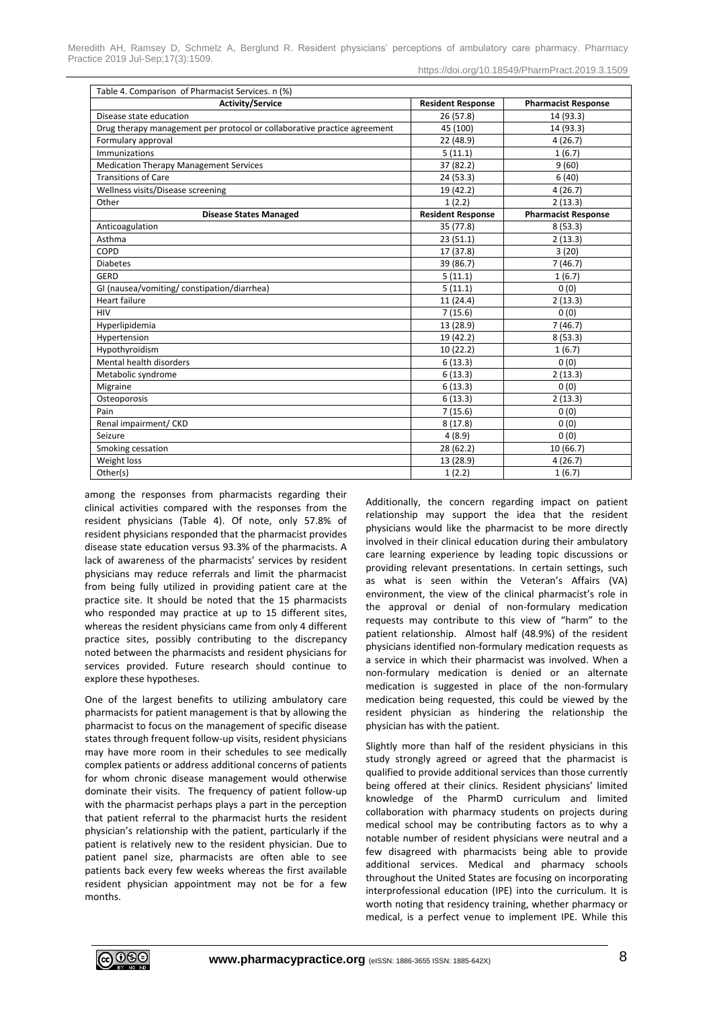| https://doi.org/10.18549/PharmPract.2019.3.1509 |  |
|-------------------------------------------------|--|
|-------------------------------------------------|--|

| Table 4. Comparison of Pharmacist Services. n (%)                        |                          |                            |
|--------------------------------------------------------------------------|--------------------------|----------------------------|
| <b>Activity/Service</b>                                                  | <b>Resident Response</b> | <b>Pharmacist Response</b> |
| Disease state education                                                  | 26 (57.8)                | 14 (93.3)                  |
| Drug therapy management per protocol or collaborative practice agreement | 45 (100)                 | 14 (93.3)                  |
| Formulary approval                                                       | 22 (48.9)                | 4(26.7)                    |
| Immunizations                                                            | 5(11.1)                  | 1(6.7)                     |
| <b>Medication Therapy Management Services</b>                            | 37 (82.2)                | 9(60)                      |
| <b>Transitions of Care</b>                                               | 24 (53.3)                | 6(40)                      |
| Wellness visits/Disease screening                                        | 19 (42.2)                | 4(26.7)                    |
| Other                                                                    | 1(2.2)                   | 2(13.3)                    |
| <b>Disease States Managed</b>                                            | <b>Resident Response</b> | <b>Pharmacist Response</b> |
| Anticoagulation                                                          | 35 (77.8)                | 8(53.3)                    |
| Asthma                                                                   | 23(51.1)                 | 2(13.3)                    |
| COPD                                                                     | 17 (37.8)                | 3(20)                      |
| <b>Diabetes</b>                                                          | 39 (86.7)                | 7(46.7)                    |
| <b>GERD</b>                                                              | 5(11.1)                  | 1(6.7)                     |
| GI (nausea/vomiting/ constipation/diarrhea)                              | 5(11.1)                  | 0(0)                       |
| <b>Heart failure</b>                                                     | 11 (24.4)                | 2(13.3)                    |
| HIV                                                                      | 7(15.6)                  | 0(0)                       |
| Hyperlipidemia                                                           | 13 (28.9)                | 7(46.7)                    |
| Hypertension                                                             | 19 (42.2)                | 8(53.3)                    |
| Hypothyroidism                                                           | 10(22.2)                 | 1(6.7)                     |
| Mental health disorders                                                  | 6(13.3)                  | 0(0)                       |
| Metabolic syndrome                                                       | 6(13.3)                  | 2(13.3)                    |
| Migraine                                                                 | 6(13.3)                  | 0(0)                       |
| Osteoporosis                                                             | 6(13.3)                  | 2(13.3)                    |
| Pain                                                                     | 7(15.6)                  | 0(0)                       |
| Renal impairment/ CKD                                                    | 8(17.8)                  | 0(0)                       |
| Seizure                                                                  | 4(8.9)                   | 0(0)                       |
| Smoking cessation                                                        | 28 (62.2)                | 10 (66.7)                  |
| Weight loss                                                              | 13 (28.9)                | 4(26.7)                    |
| Other(s)                                                                 | 1(2.2)                   | 1(6.7)                     |

among the responses from pharmacists regarding their clinical activities compared with the responses from the resident physicians (Table 4). Of note, only 57.8% of resident physicians responded that the pharmacist provides disease state education versus 93.3% of the pharmacists. A lack of awareness of the pharmacists' services by resident physicians may reduce referrals and limit the pharmacist from being fully utilized in providing patient care at the practice site. It should be noted that the 15 pharmacists who responded may practice at up to 15 different sites. whereas the resident physicians came from only 4 different practice sites, possibly contributing to the discrepancy noted between the pharmacists and resident physicians for services provided. Future research should continue to explore these hypotheses.

One of the largest benefits to utilizing ambulatory care pharmacists for patient management is that by allowing the pharmacist to focus on the management of specific disease states through frequent follow-up visits, resident physicians may have more room in their schedules to see medically complex patients or address additional concerns of patients for whom chronic disease management would otherwise dominate their visits. The frequency of patient follow-up with the pharmacist perhaps plays a part in the perception that patient referral to the pharmacist hurts the resident physician's relationship with the patient, particularly if the patient is relatively new to the resident physician. Due to patient panel size, pharmacists are often able to see patients back every few weeks whereas the first available resident physician appointment may not be for a few months.

Additionally, the concern regarding impact on patient relationship may support the idea that the resident physicians would like the pharmacist to be more directly involved in their clinical education during their ambulatory care learning experience by leading topic discussions or providing relevant presentations. In certain settings, such as what is seen within the Veteran's Affairs (VA) environment, the view of the clinical pharmacist's role in the approval or denial of non-formulary medication requests may contribute to this view of "harm" to the patient relationship. Almost half (48.9%) of the resident physicians identified non-formulary medication requests as a service in which their pharmacist was involved. When a non-formulary medication is denied or an alternate medication is suggested in place of the non-formulary medication being requested, this could be viewed by the resident physician as hindering the relationship the physician has with the patient.

Slightly more than half of the resident physicians in this study strongly agreed or agreed that the pharmacist is qualified to provide additional services than those currently being offered at their clinics. Resident physicians' limited knowledge of the PharmD curriculum and limited collaboration with pharmacy students on projects during medical school may be contributing factors as to why a notable number of resident physicians were neutral and a few disagreed with pharmacists being able to provide additional services. Medical and pharmacy schools throughout the United States are focusing on incorporating interprofessional education (IPE) into the curriculum. It is worth noting that residency training, whether pharmacy or medical, is a perfect venue to implement IPE. While this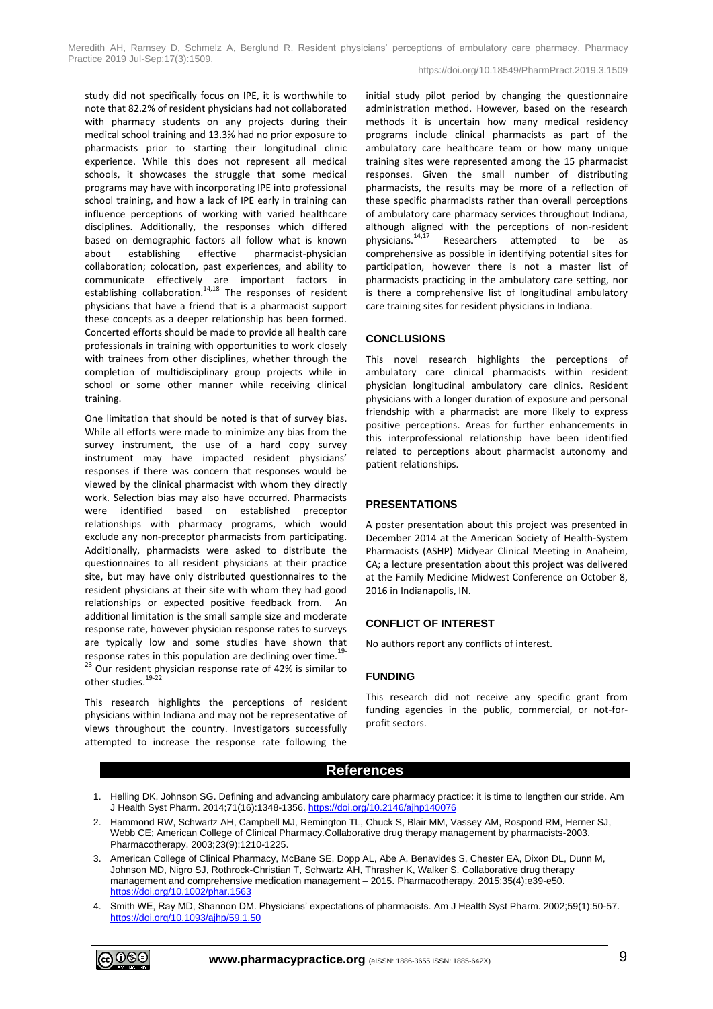study did not specifically focus on IPE, it is worthwhile to note that 82.2% of resident physicians had not collaborated with pharmacy students on any projects during their medical school training and 13.3% had no prior exposure to pharmacists prior to starting their longitudinal clinic experience. While this does not represent all medical schools, it showcases the struggle that some medical programs may have with incorporating IPE into professional school training, and how a lack of IPE early in training can influence perceptions of working with varied healthcare disciplines. Additionally, the responses which differed based on demographic factors all follow what is known about establishing effective pharmacist-physician collaboration; colocation, past experiences, and ability to communicate effectively are important factors in establishing collaboration.<sup>14,18</sup> The responses of resident physicians that have a friend that is a pharmacist support these concepts as a deeper relationship has been formed. Concerted efforts should be made to provide all health care professionals in training with opportunities to work closely with trainees from other disciplines, whether through the completion of multidisciplinary group projects while in school or some other manner while receiving clinical training.

One limitation that should be noted is that of survey bias. While all efforts were made to minimize any bias from the survey instrument, the use of a hard copy survey instrument may have impacted resident physicians' responses if there was concern that responses would be viewed by the clinical pharmacist with whom they directly work. Selection bias may also have occurred. Pharmacists were identified based on established preceptor relationships with pharmacy programs, which would exclude any non-preceptor pharmacists from participating. Additionally, pharmacists were asked to distribute the questionnaires to all resident physicians at their practice site, but may have only distributed questionnaires to the resident physicians at their site with whom they had good relationships or expected positive feedback from. An additional limitation is the small sample size and moderate response rate, however physician response rates to surveys are typically low and some studies have shown that response rates in this population are declining over time.<sup>19-</sup>  $23$  Our resident physician response rate of 42% is similar to other studies.<sup>19-22</sup>

This research highlights the perceptions of resident physicians within Indiana and may not be representative of views throughout the country. Investigators successfully attempted to increase the response rate following the

initial study pilot period by changing the questionnaire administration method. However, based on the research methods it is uncertain how many medical residency programs include clinical pharmacists as part of the ambulatory care healthcare team or how many unique training sites were represented among the 15 pharmacist responses. Given the small number of distributing pharmacists, the results may be more of a reflection of these specific pharmacists rather than overall perceptions of ambulatory care pharmacy services throughout Indiana, although aligned with the perceptions of non-resident physicians. $14,17$  Researchers attempted to be as Researchers attempted to be as comprehensive as possible in identifying potential sites for participation, however there is not a master list of pharmacists practicing in the ambulatory care setting, nor is there a comprehensive list of longitudinal ambulatory care training sites for resident physicians in Indiana.

## **CONCLUSIONS**

This novel research highlights the perceptions of ambulatory care clinical pharmacists within resident physician longitudinal ambulatory care clinics. Resident physicians with a longer duration of exposure and personal friendship with a pharmacist are more likely to express positive perceptions. Areas for further enhancements in this interprofessional relationship have been identified related to perceptions about pharmacist autonomy and patient relationships.

## **PRESENTATIONS**

A poster presentation about this project was presented in December 2014 at the American Society of Health-System Pharmacists (ASHP) Midyear Clinical Meeting in Anaheim, CA; a lecture presentation about this project was delivered at the Family Medicine Midwest Conference on October 8, 2016 in Indianapolis, IN.

## **CONFLICT OF INTEREST**

No authors report any conflicts of interest.

## **FUNDING**

This research did not receive any specific grant from funding agencies in the public, commercial, or not-forprofit sectors.

## **References**

- 1. Helling DK, Johnson SG. Defining and advancing ambulatory care pharmacy practice: it is time to lengthen our stride. Am J Health Syst Pharm. 2014;71(16):1348-1356[. https://doi.org/10.2146/ajhp140076](https://doi.org/10.2146/ajhp140076)
- 2. Hammond RW, Schwartz AH, Campbell MJ, Remington TL, Chuck S, Blair MM, Vassey AM, Rospond RM, Herner SJ, Webb CE; American College of Clinical Pharmacy.Collaborative drug therapy management by pharmacists-2003. Pharmacotherapy. 2003;23(9):1210-1225.
- 3. American College of Clinical Pharmacy, McBane SE, Dopp AL, Abe A, Benavides S, Chester EA, Dixon DL, Dunn M, Johnson MD, Nigro SJ, Rothrock-Christian T, Schwartz AH, Thrasher K, Walker S. Collaborative drug therapy management and comprehensive medication management – 2015. Pharmacotherapy. 2015;35(4):e39-e50. <https://doi.org/10.1002/phar.1563>
- 4. Smith WE, Ray MD, Shannon DM. Physicians' expectations of pharmacists. Am J Health Syst Pharm. 2002;59(1):50-57. <https://doi.org/10.1093/ajhp/59.1.50>